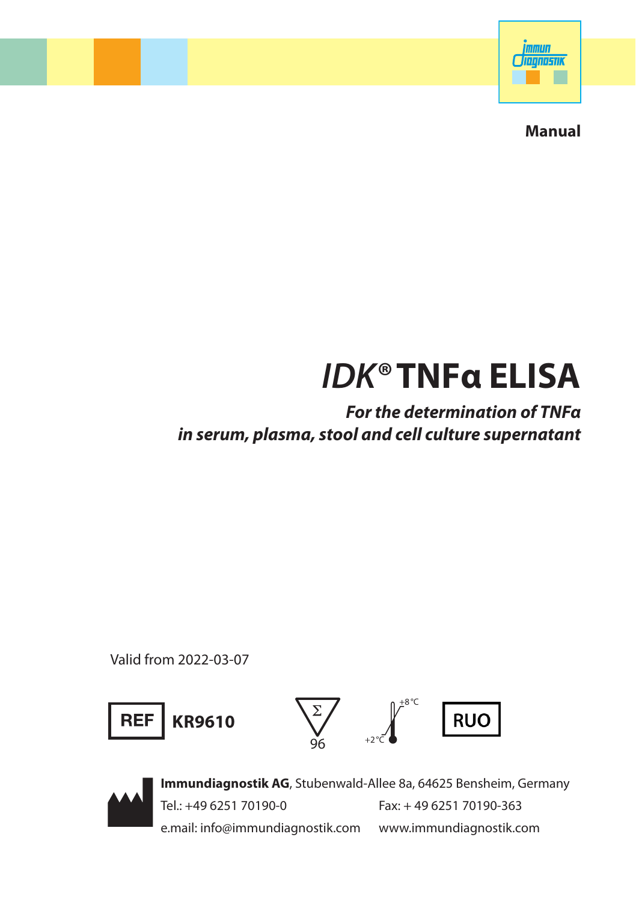

**Manual**

# *IDK®* **TNFα ELISA**

*For the determination of TNFα in serum, plasma, stool and cell culture supernatant*

Valid from 2022-03-07





**Immundiagnostik AG**, Stubenwald-Allee 8a, 64625 Bensheim, Germany Tel.: +49 6251 70190-0 Fax: + 49 6251 70190-363 e.mail: info@immundiagnostik.com www.immundiagnostik.com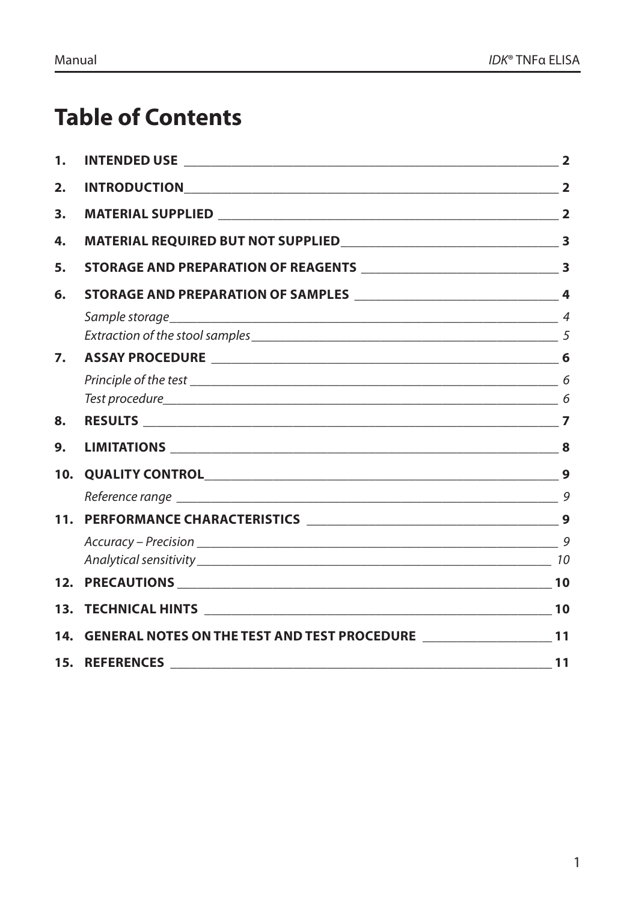## **Table of Contents**

| 1.  |                                                                           |  |
|-----|---------------------------------------------------------------------------|--|
| 2.  |                                                                           |  |
| 3.  |                                                                           |  |
| 4.  |                                                                           |  |
| 5.  |                                                                           |  |
| 6.  |                                                                           |  |
|     |                                                                           |  |
| 7.  |                                                                           |  |
|     |                                                                           |  |
| 8.  |                                                                           |  |
| 9.  |                                                                           |  |
| 10. |                                                                           |  |
|     |                                                                           |  |
| 11. |                                                                           |  |
|     |                                                                           |  |
|     |                                                                           |  |
| 13. |                                                                           |  |
| 14. | GENERAL NOTES ON THE TEST AND TEST PROCEDURE __________________________11 |  |
|     |                                                                           |  |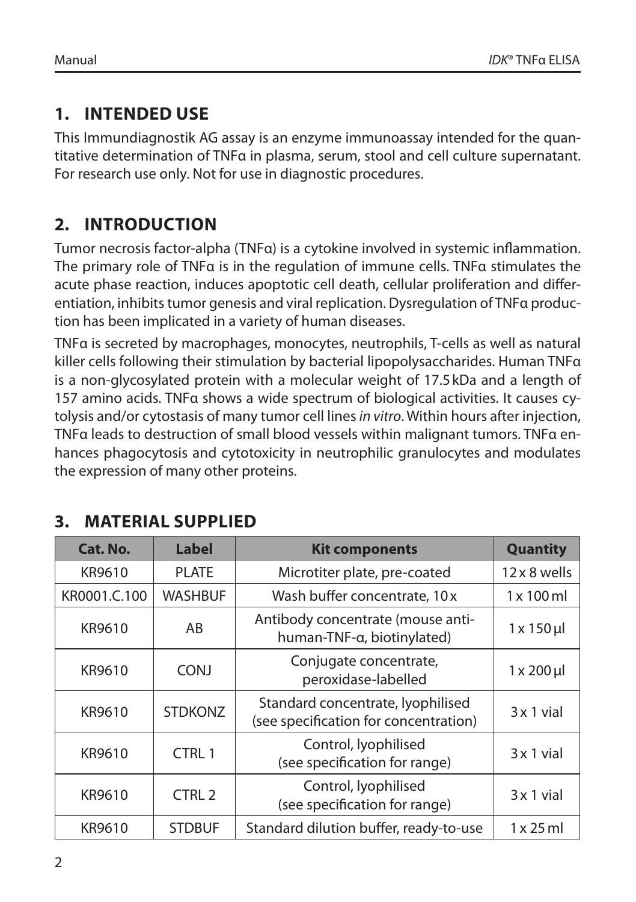## **1. INTENDED USE**

This Immundiagnostik AG assay is an enzyme immunoassay intended for the quantitative determination of TNFα in plasma, serum, stool and cell culture supernatant. For research use only. Not for use in diagnostic procedures.

## **2. INTRODUCTION**

Tumor necrosis factor-alpha (TNFα) is a cytokine involved in systemic inflammation. The primary role of TNFα is in the regulation of immune cells. TNFα stimulates the acute phase reaction, induces apoptotic cell death, cellular proliferation and differentiation, inhibits tumor genesis and viral replication. Dysregulation of TNFα production has been implicated in a variety of human diseases.

TNFα is secreted by macrophages, monocytes, neutrophils, T-cells as well as natural killer cells following their stimulation by bacterial lipopolysaccharides. Human TNFα is a non-glycosylated protein with a molecular weight of 17.5kDa and a length of 157 amino acids. TNFα shows a wide spectrum of biological activities. It causes cytolysis and/or cytostasis of many tumor cell lines *in vitro*. Within hours after injection, TNFα leads to destruction of small blood vessels within malignant tumors. TNFα enhances phagocytosis and cytotoxicity in neutrophilic granulocytes and modulates the expression of many other proteins.

| Cat. No.     | Label                                                        | <b>Kit components</b>                                                      | <b>Quantity</b>      |
|--------------|--------------------------------------------------------------|----------------------------------------------------------------------------|----------------------|
| KR9610       | <b>PLATE</b>                                                 | Microtiter plate, pre-coated                                               | $12 \times 8$ wells  |
| KR0001.C.100 | <b>WASHBUF</b>                                               | Wash buffer concentrate, 10 x                                              | $1 \times 100$ ml    |
| KR9610       | AB                                                           | Antibody concentrate (mouse anti-<br>human-TNF-a, biotinylated)            | $1 \times 150$ µl    |
| KR9610       | Conjugate concentrate,<br><b>CONJ</b><br>peroxidase-labelled |                                                                            | $1 \times 200 \,\mu$ |
| KR9610       | <b>STDKONZ</b>                                               | Standard concentrate, lyophilised<br>(see specification for concentration) | $3x1$ vial           |
| KR9610       | CTRL 1                                                       | Control, lyophilised<br>(see specification for range)                      | $3x1$ vial           |
| KR9610       | CTRL <sub>2</sub>                                            | Control, lyophilised<br>(see specification for range)                      | $3x1$ vial           |
| KR9610       | <b>STDBUF</b>                                                | Standard dilution buffer, ready-to-use                                     | $1 \times 25$ ml     |

## **3. MATERIAL SUPPLIED**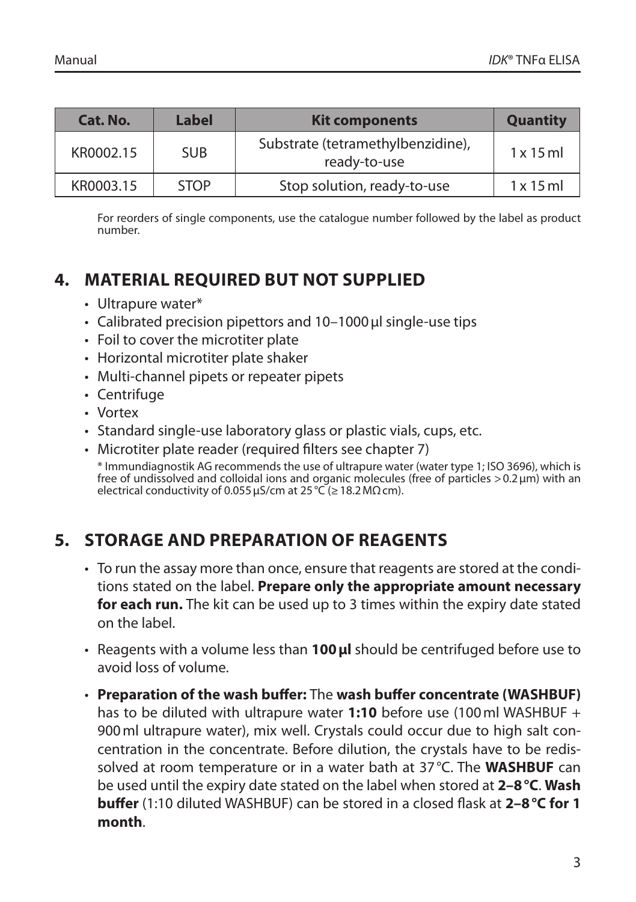| Cat. No.  | Label       | <b>Kit components</b>                             | <b>Quantity</b>  |
|-----------|-------------|---------------------------------------------------|------------------|
| KR0002.15 | <b>SUB</b>  | Substrate (tetramethylbenzidine),<br>ready-to-use | $1 \times 15$ ml |
| KR0003.15 | <b>STOP</b> | Stop solution, ready-to-use                       | $1 \times 15$ ml |

For reorders of single components, use the catalogue number followed by the label as product number.

## **4. MATERIAL REQUIRED BUT NOT SUPPLIED**

- Ultrapure water\*
- Calibrated precision pipettors and 10–1000µl single-use tips
- Foil to cover the microtiter plate
- Horizontal microtiter plate shaker
- Multi-channel pipets or repeater pipets
- Centrifuge
- Vortex
- Standard single-use laboratory glass or plastic vials, cups, etc.
- Microtiter plate reader (required filters see chapter 7) \* Immundiagnostik AG recommends the use of ultrapure water (water type 1; ISO 3696), which is free of undissolved and colloidal ions and organic molecules (free of particles >0.2µm) with an electrical conductivity of 0.055 µS/cm at  $25^{\circ}C \approx 18.2 M\Omega$  cm).

## **5. STORAGE AND PREPARATION OF REAGENTS**

- To run the assay more than once, ensure that reagents are stored at the conditions stated on the label. **Prepare only the appropriate amount necessary for each run.** The kit can be used up to 3 times within the expiry date stated on the label.
- Reagents with a volume less than **100µl** should be centrifuged before use to avoid loss of volume.
- **Preparation of the wash buffer:** The **wash buffer concentrate (WASHBUF)**  has to be diluted with ultrapure water **1:10** before use (100ml WASHBUF + 900ml ultrapure water), mix well. Crystals could occur due to high salt concentration in the concentrate. Before dilution, the crystals have to be redissolved at room temperature or in a water bath at 37°C. The **WASHBUF** can be used until the expiry date stated on the label when stored at **2–8°C**. **Wash buffer** (1:10 diluted WASHBUF) can be stored in a closed flask at **2–8°C for 1 month**.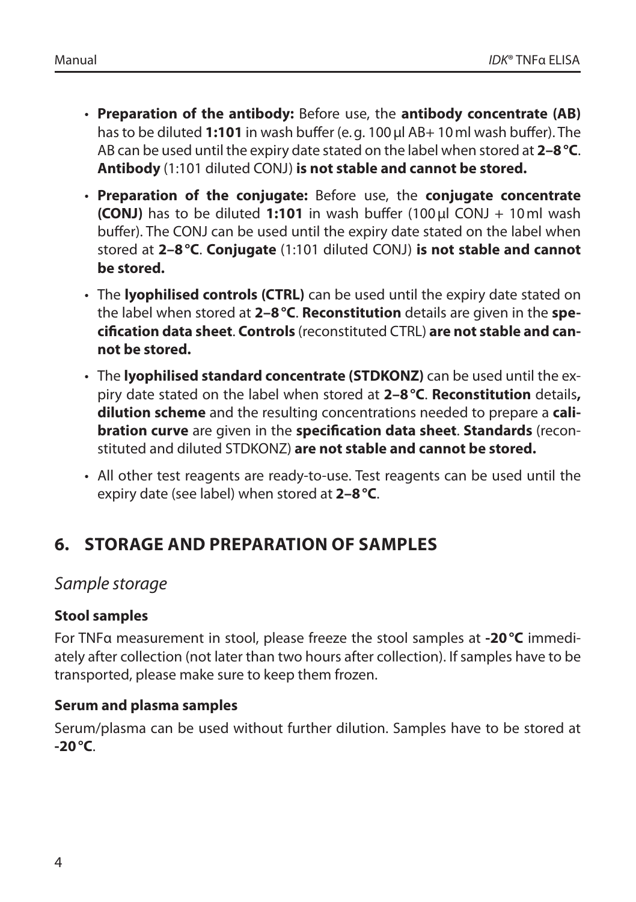- **Preparation of the antibody:** Before use, the **antibody concentrate (AB)**  has to be diluted **1:101** in wash buffer (e.g. 100µl AB+ 10ml wash buffer). The AB can be used until the expiry date stated on the label when stored at **2–8°C**. **Antibody** (1:101 diluted CONJ) **is not stable and cannot be stored.**
- **Preparation of the conjugate:** Before use, the **conjugate concentrate (CONJ)** has to be diluted **1:101** in wash buffer (100µl CONJ + 10ml wash buffer). The CONJ can be used until the expiry date stated on the label when stored at **2–8°C**. **Conjugate** (1:101 diluted CONJ) **is not stable and cannot be stored.**
- The **lyophilised controls (CTRL)** can be used until the expiry date stated on the label when stored at **2–8°C**. **Reconstitution** details are given in the **specification data sheet**. **Controls** (reconstituted CTRL) **are not stable and cannot be stored.**
- The **lyophilised standard concentrate (STDKONZ)** can be used until the expiry date stated on the label when stored at **2–8°C**. **Reconstitution** details**, dilution scheme** and the resulting concentrations needed to prepare a **calibration curve** are given in the **specification data sheet**. **Standards** (reconstituted and diluted STDKONZ) **are not stable and cannot be stored.**
- All other test reagents are ready-to-use. Test reagents can be used until the expiry date (see label) when stored at **2–8°C**.

## **6. STORAGE AND PREPARATION OF SAMPLES**

#### *Sample storage*

#### **Stool samples**

For TNFα measurement in stool, please freeze the stool samples at **-20°C** immediately after collection (not later than two hours after collection). If samples have to be transported, please make sure to keep them frozen.

#### **Serum and plasma samples**

Serum/plasma can be used without further dilution. Samples have to be stored at **-20°C**.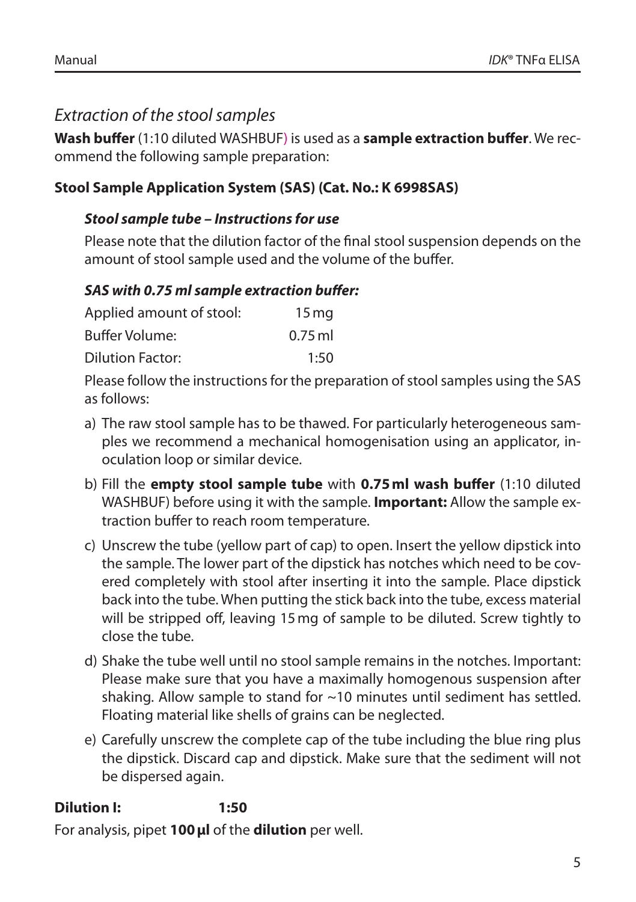## *Extraction of the stool samples*

**Wash buffer** (1:10 diluted WASHBUF) is used as a **sample extraction buffer**. We recommend the following sample preparation:

#### **Stool Sample Application System (SAS) (Cat. No.: K 6998SAS)**

#### *Stool sample tube – Instructions for use*

Please note that the dilution factor of the final stool suspension depends on the amount of stool sample used and the volume of the buffer.

#### *SAS with 0.75 ml sample extraction buffer:*

| Applied amount of stool: | 15 <sub>mq</sub> |
|--------------------------|------------------|
| Buffer Volume:           | $0.75$ ml        |
| Dilution Factor:         | 1:50             |

Please follow the instructions for the preparation of stool samples using the SAS as follows:

- a) The raw stool sample has to be thawed. For particularly heterogeneous samples we recommend a mechanical homogenisation using an applicator, inoculation loop or similar device.
- b) Fill the **empty stool sample tube** with **0.75ml wash buffer** (1:10 diluted WASHBUF) before using it with the sample. **Important:** Allow the sample extraction buffer to reach room temperature.
- c) Unscrew the tube (yellow part of cap) to open. Insert the yellow dipstick into the sample. The lower part of the dipstick has notches which need to be covered completely with stool after inserting it into the sample. Place dipstick back into the tube. When putting the stick back into the tube, excess material will be stripped off, leaving 15mg of sample to be diluted. Screw tightly to close the tube.
- d) Shake the tube well until no stool sample remains in the notches. Important: Please make sure that you have a maximally homogenous suspension after shaking. Allow sample to stand for ~10 minutes until sediment has settled. Floating material like shells of grains can be neglected.
- e) Carefully unscrew the complete cap of the tube including the blue ring plus the dipstick. Discard cap and dipstick. Make sure that the sediment will not be dispersed again.

#### **Dilution I: 1:50**

For analysis, pipet **100µl** of the **dilution** per well.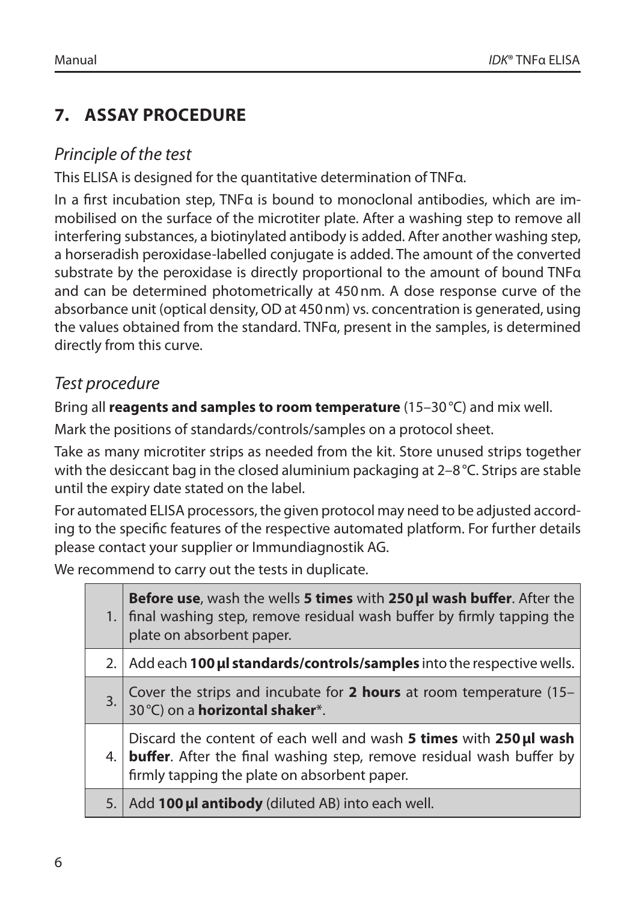## **7. ASSAY PROCEDURE**

## *Principle of the test*

This ELISA is designed for the quantitative determination of TNFα.

In a first incubation step, TNFα is bound to monoclonal antibodies, which are immobilised on the surface of the microtiter plate. After a washing step to remove all interfering substances, a biotinylated antibody is added. After another washing step, a horseradish peroxidase-labelled conjugate is added. The amount of the converted substrate by the peroxidase is directly proportional to the amount of bound TNFα and can be determined photometrically at 450nm. A dose response curve of the absorbance unit (optical density, OD at 450nm) vs. concentration is generated, using the values obtained from the standard. TNFα, present in the samples, is determined directly from this curve.

## *Test procedure*

Bring all **reagents and samples to room temperature** (15–30°C) and mix well.

Mark the positions of standards/controls/samples on a protocol sheet.

Take as many microtiter strips as needed from the kit. Store unused strips together with the desiccant bag in the closed aluminium packaging at 2-8 °C. Strips are stable until the expiry date stated on the label.

For automated ELISA processors, the given protocol may need to be adjusted according to the specific features of the respective automated platform. For further details please contact your supplier or Immundiagnostik AG.

We recommend to carry out the tests in duplicate.

|     | Before use, wash the wells 5 times with 250 ul wash buffer. After the<br>final washing step, remove residual wash buffer by firmly tapping the<br>plate on absorbent paper.                        |
|-----|----------------------------------------------------------------------------------------------------------------------------------------------------------------------------------------------------|
| 2.1 | Add each 100 ul standards/controls/samples into the respective wells.                                                                                                                              |
| 3.  | Cover the strips and incubate for 2 hours at room temperature (15-<br>30 °C) on a <b>horizontal shaker</b> *.                                                                                      |
| 4.  | Discard the content of each well and wash 5 times with 250 µl wash<br><b>buffer</b> . After the final washing step, remove residual wash buffer by<br>firmly tapping the plate on absorbent paper. |
| 5.  | Add 100 µl antibody (diluted AB) into each well.                                                                                                                                                   |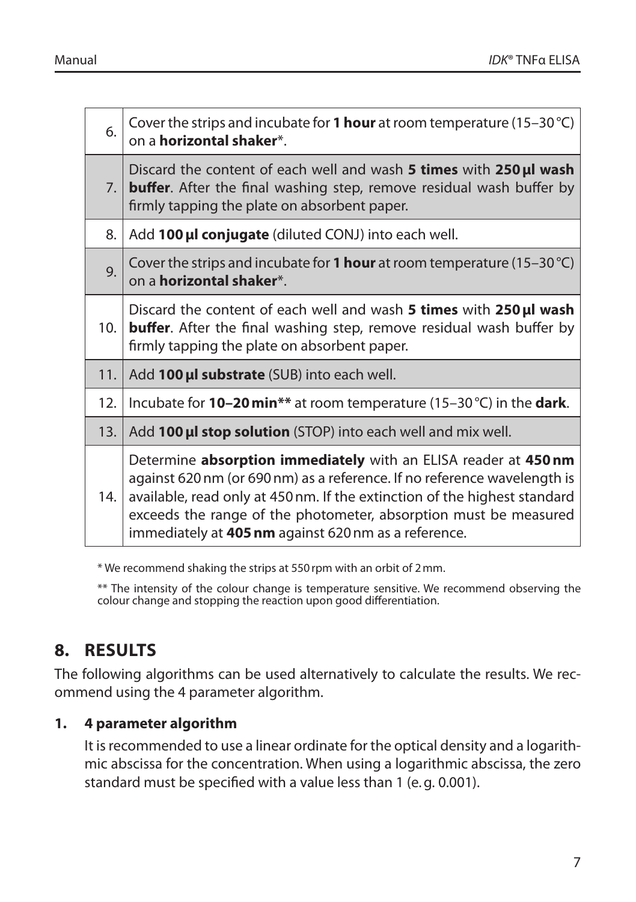| 6.             | Cover the strips and incubate for 1 hour at room temperature (15-30 °C)<br>on a <b>horizontal shaker*</b> .                                                                                                                                                                                                                                          |
|----------------|------------------------------------------------------------------------------------------------------------------------------------------------------------------------------------------------------------------------------------------------------------------------------------------------------------------------------------------------------|
| 7 <sub>1</sub> | Discard the content of each well and wash 5 times with 250 µl wash<br><b>buffer.</b> After the final washing step, remove residual wash buffer by<br>firmly tapping the plate on absorbent paper.                                                                                                                                                    |
| 8.             | Add 100 µl conjugate (diluted CONJ) into each well.                                                                                                                                                                                                                                                                                                  |
| 9.             | Cover the strips and incubate for 1 hour at room temperature (15-30 °C)<br>on a <b>horizontal shaker</b> *.                                                                                                                                                                                                                                          |
| 10.            | Discard the content of each well and wash <b>5 times</b> with <b>250 µl wash</b><br><b>buffer.</b> After the final washing step, remove residual wash buffer by<br>firmly tapping the plate on absorbent paper.                                                                                                                                      |
| 11.            | Add 100 µl substrate (SUB) into each well.                                                                                                                                                                                                                                                                                                           |
| 12.            | Incubate for 10-20 min** at room temperature (15-30 °C) in the dark.                                                                                                                                                                                                                                                                                 |
| 13.            | Add 100 µl stop solution (STOP) into each well and mix well.                                                                                                                                                                                                                                                                                         |
| 14.            | Determine absorption immediately with an ELISA reader at 450 nm<br>against 620 nm (or 690 nm) as a reference. If no reference wavelength is<br>available, read only at 450 nm. If the extinction of the highest standard<br>exceeds the range of the photometer, absorption must be measured<br>immediately at 405 nm against 620 nm as a reference. |

\* We recommend shaking the strips at 550rpm with an orbit of 2mm.

\*\* The intensity of the colour change is temperature sensitive. We recommend observing the colour change and stopping the reaction upon good differentiation.

## **8. RESULTS**

The following algorithms can be used alternatively to calculate the results. We recommend using the 4 parameter algorithm.

#### **1. 4 parameter algorithm**

It is recommended to use a linear ordinate for the optical density and a logarithmic abscissa for the concentration. When using a logarithmic abscissa, the zero standard must be specified with a value less than 1 (e.g. 0.001).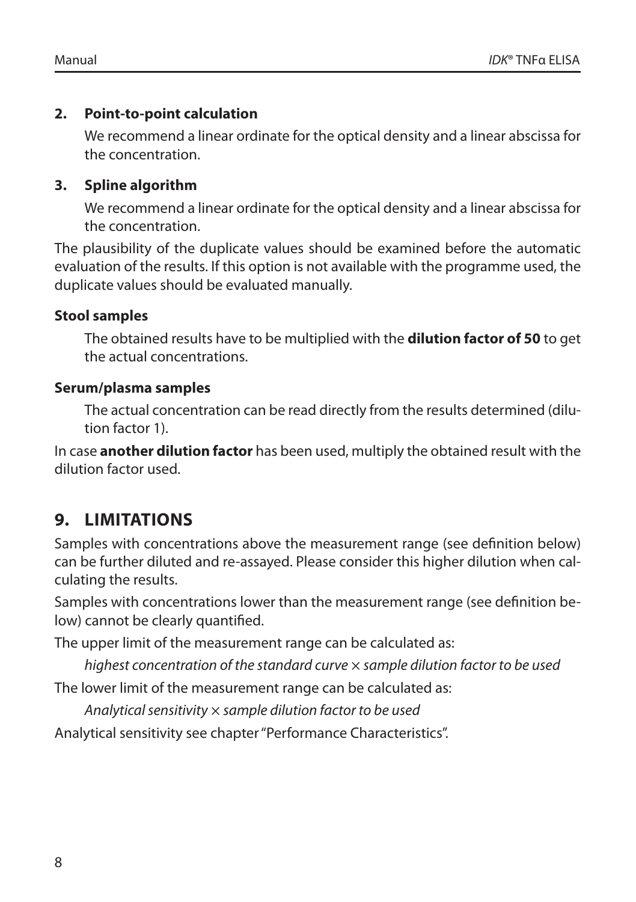#### **2. Point-to-point calculation**

We recommend a linear ordinate for the optical density and a linear abscissa for the concentration.

#### **3. Spline algorithm**

We recommend a linear ordinate for the optical density and a linear abscissa for the concentration.

The plausibility of the duplicate values should be examined before the automatic evaluation of the results. If this option is not available with the programme used, the duplicate values should be evaluated manually.

#### **Stool samples**

The obtained results have to be multiplied with the **dilution factor of 50** to get the actual concentrations.

#### **Serum/plasma samples**

The actual concentration can be read directly from the results determined (dilution factor 1).

In case **another dilution factor** has been used, multiply the obtained result with the dilution factor used.

## **9. LIMITATIONS**

Samples with concentrations above the measurement range (see definition below) can be further diluted and re-assayed. Please consider this higher dilution when calculating the results.

Samples with concentrations lower than the measurement range (see definition below) cannot be clearly quantified.

The upper limit of the measurement range can be calculated as:

*highest concentration of the standard curve* × *sample dilution factor to be used*

The lower limit of the measurement range can be calculated as:

*Analytical sensitivity* × *sample dilution factor to be used*

Analytical sensitivity see chapter "Performance Characteristics".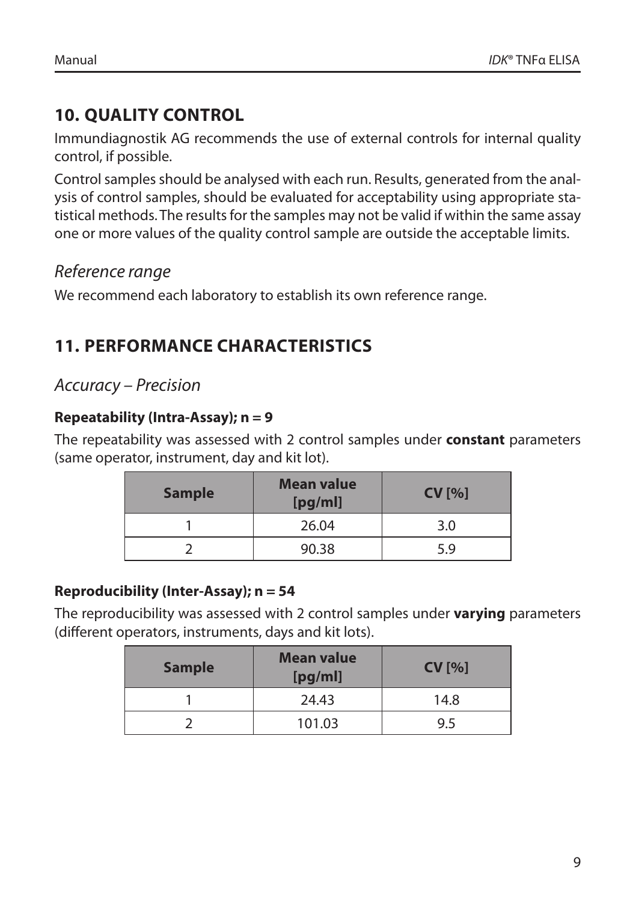## **10. QUALITY CONTROL**

Immundiagnostik AG recommends the use of external controls for internal quality control, if possible.

Control samples should be analysed with each run. Results, generated from the analysis of control samples, should be evaluated for acceptability using appropriate statistical methods. The results for the samples may not be valid if within the same assay one or more values of the quality control sample are outside the acceptable limits.

## *Reference range*

We recommend each laboratory to establish its own reference range.

## **11. PERFORMANCE CHARACTERISTICS**

#### *Accuracy – Precision*

#### **Repeatability (Intra-Assay); n = 9**

The repeatability was assessed with 2 control samples under **constant** parameters (same operator, instrument, day and kit lot).

| <b>Sample</b> | Mean value<br>[pg/ml] | CV[%] |
|---------------|-----------------------|-------|
|               | 26.04                 | 3.0   |
|               | 90.38                 | 5.9   |

#### **Reproducibility (Inter-Assay); n = 54**

The reproducibility was assessed with 2 control samples under **varying** parameters (different operators, instruments, days and kit lots).

| <b>Sample</b> | Mean value<br>[pg/ml] | CV[%] |
|---------------|-----------------------|-------|
|               | 24.43                 | 14.8  |
|               | 101.03                | 9.5   |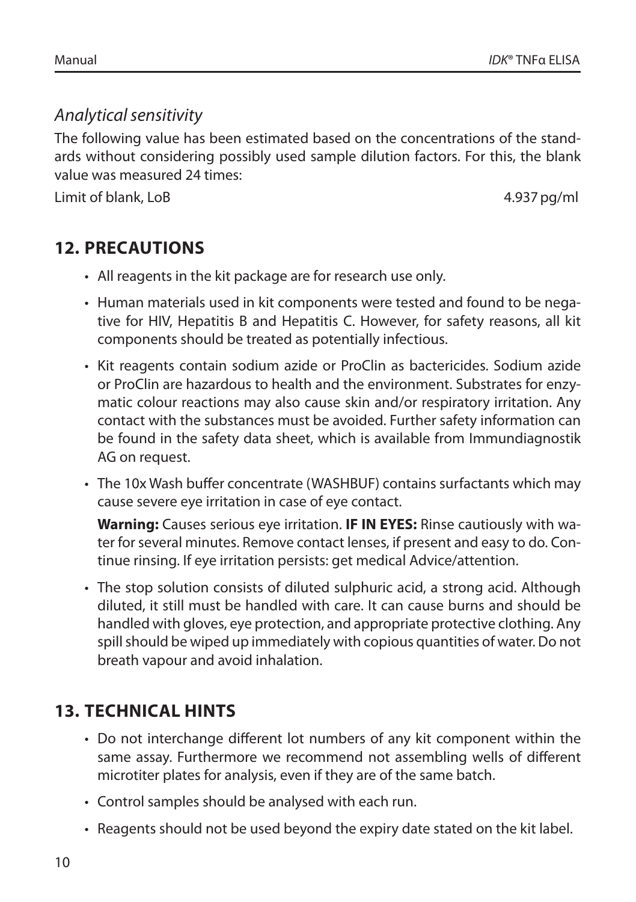#### *Analytical sensitivity*

The following value has been estimated based on the concentrations of the standards without considering possibly used sample dilution factors. For this, the blank value was measured 24 times:

Limit of blank, LoB 4.937pg/ml

## **12. PRECAUTIONS**

- All reagents in the kit package are for research use only.
- Human materials used in kit components were tested and found to be negative for HIV, Hepatitis B and Hepatitis C. However, for safety reasons, all kit components should be treated as potentially infectious.
- Kit reagents contain sodium azide or ProClin as bactericides. Sodium azide or ProClin are hazardous to health and the environment. Substrates for enzymatic colour reactions may also cause skin and/or respiratory irritation. Any contact with the substances must be avoided. Further safety information can be found in the safety data sheet, which is available from Immundiagnostik AG on request.
- The 10x Wash buffer concentrate (WASHBUF) contains surfactants which may cause severe eye irritation in case of eye contact.

**Warning:** Causes serious eye irritation. **IF IN EYES:** Rinse cautiously with water for several minutes. Remove contact lenses, if present and easy to do. Continue rinsing. If eye irritation persists: get medical Advice/attention.

• The stop solution consists of diluted sulphuric acid, a strong acid. Although diluted, it still must be handled with care. It can cause burns and should be handled with gloves, eye protection, and appropriate protective clothing. Any spill should be wiped up immediately with copious quantities of water. Do not breath vapour and avoid inhalation.

## **13. TECHNICAL HINTS**

- Do not interchange different lot numbers of any kit component within the same assay. Furthermore we recommend not assembling wells of different microtiter plates for analysis, even if they are of the same batch.
- Control samples should be analysed with each run.
- Reagents should not be used beyond the expiry date stated on the kit label.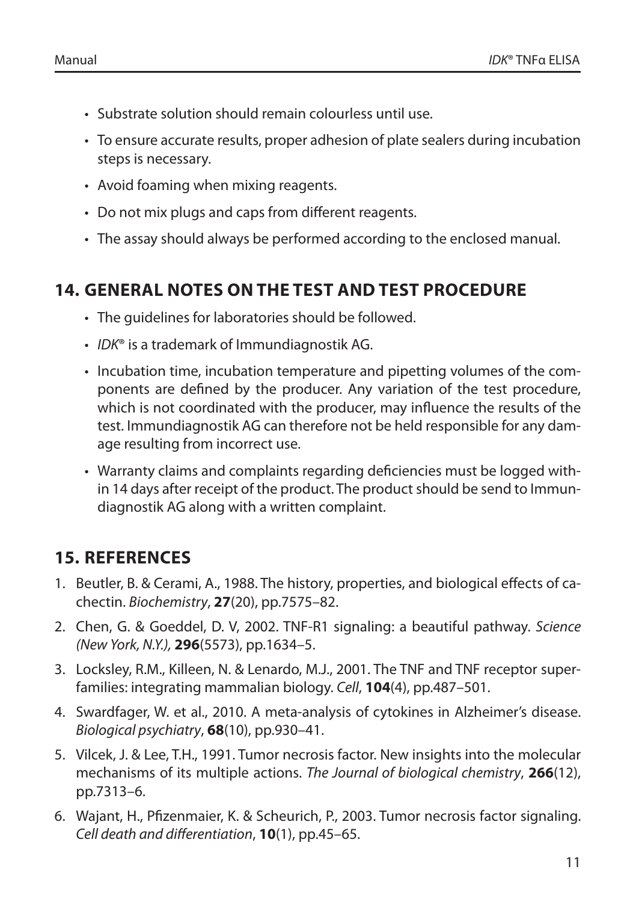- Substrate solution should remain colourless until use.
- To ensure accurate results, proper adhesion of plate sealers during incubation steps is necessary.
- Avoid foaming when mixing reagents.
- Do not mix plugs and caps from different reagents.
- The assay should always be performed according to the enclosed manual.

## **14. GENERAL NOTES ON THE TEST AND TEST PROCEDURE**

- The guidelines for laboratories should be followed.
- *IDK*® is a trademark of Immundiagnostik AG.
- Incubation time, incubation temperature and pipetting volumes of the components are defined by the producer. Any variation of the test procedure, which is not coordinated with the producer, may influence the results of the test. Immundiagnostik AG can therefore not be held responsible for any damage resulting from incorrect use.
- Warranty claims and complaints regarding deficiencies must be logged within 14 days after receipt of the product. The product should be send to Immundiagnostik AG along with a written complaint.

## **15. REFERENCES**

- 1. Beutler, B. & Cerami, A., 1988. The history, properties, and biological effects of cachectin. *Biochemistry*, **27**(20), pp.7575–82.
- 2. Chen, G. & Goeddel, D. V, 2002. TNF-R1 signaling: a beautiful pathway. *Science (New York, N.Y.),* **296**(5573), pp.1634–5.
- 3. Locksley, R.M., Killeen, N. & Lenardo, M.J., 2001. The TNF and TNF receptor superfamilies: integrating mammalian biology. *Cell*, **104**(4), pp.487–501.
- 4. Swardfager, W. et al., 2010. A meta-analysis of cytokines in Alzheimer's disease. *Biological psychiatry*, **68**(10), pp.930–41.
- 5. Vilcek, J. & Lee, T.H., 1991. Tumor necrosis factor. New insights into the molecular mechanisms of its multiple actions. *The Journal of biological chemistry*, **266**(12), pp.7313–6.
- 6. Wajant, H., Pfizenmaier, K. & Scheurich, P., 2003. Tumor necrosis factor signaling. *Cell death and differentiation*, **10**(1), pp.45–65.